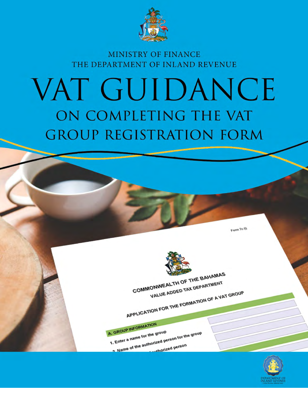

# MINISTRY OF FINANCE THE DEPARTMENT OF INLAND REVENUE

# VAT GUIDANCE ON COMPLETING THE VAT **GROUP REGISTRATION FORM**

COMMONWEALTH OF THE BAHAMAS VALUE ADDED TAX DEPARTMENT

A. GROUP INFORMATION

1. Enter a name for the group

2 Name of the authorized person for the group

APPLICATION FOR THE FORMATION OF A VAT GROUP



Form Tc (i)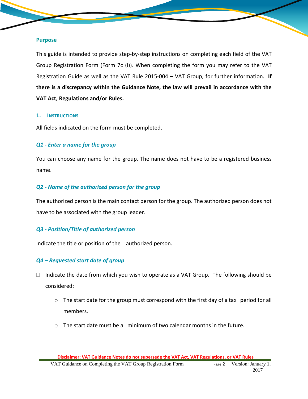#### **Purpose**

This guide is intended to provide step-by-step instructions on completing each field of the VAT Group Registration Form (Form 7c (i)). When completing the form you may refer to the VAT Registration Guide as well as the VAT Rule 2015-004 – VAT Group, for further information. **If there is a discrepancy within the Guidance Note, the law will prevail in accordance with the VAT Act, Regulations and/or Rules.**

### **1. INSTRUCTIONS**

All fields indicated on the form must be completed.

# *Q1 - Enter a name for the group*

You can choose any name for the group. The name does not have to be a registered business name.

# *Q2 - Name of the authorized person for the group*

The authorized person is the main contact person for the group. The authorized person does not have to be associated with the group leader.

# *Q3 - Position/Title of authorized person*

Indicate the title or position of the authorized person.

# *Q4 – Requested start date of group*

- $\Box$  Indicate the date from which you wish to operate as a VAT Group. The following should be considered:
	- o The start date for the group must correspond with the first day of a tax period for all members.
	- $\circ$  The start date must be a minimum of two calendar months in the future.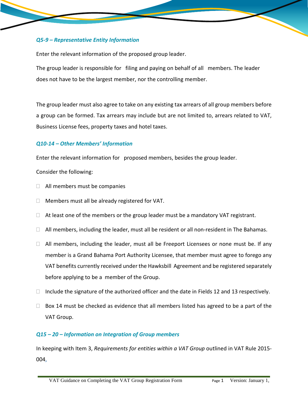# *Q5-9 – Representative Entity Information*

Enter the relevant information of the proposed group leader.

The group leader is responsible for filing and paying on behalf of all members. The leader does not have to be the largest member, nor the controlling member.

The group leader must also agree to take on any existing tax arrears of all group members before a group can be formed. Tax arrears may include but are not limited to, arrears related to VAT, Business License fees, property taxes and hotel taxes.

# *Q10-14 – Other Members' Information*

Enter the relevant information for proposed members, besides the group leader.

Consider the following:

- $\Box$  All members must be companies
- $\Box$  Members must all be already registered for VAT.
- $\Box$  At least one of the members or the group leader must be a mandatory VAT registrant.
- $\Box$  All members, including the leader, must all be resident or all non-resident in The Bahamas.
- $\Box$  All members, including the leader, must all be Freeport Licensees or none must be. If any member is a Grand Bahama Port Authority Licensee, that member must agree to forego any VAT benefits currently received under the Hawksbill Agreement and be registered separately before applying to be a member of the Group.
- $\Box$  Include the signature of the authorized officer and the date in Fields 12 and 13 respectively.
- $\Box$  Box 14 must be checked as evidence that all members listed has agreed to be a part of the VAT Group.

# *Q15 – 20 – Information on Integration of Group members*

In keeping with Item 3, *Requirements for entities within a VAT Group* outlined in VAT Rule 2015- 004,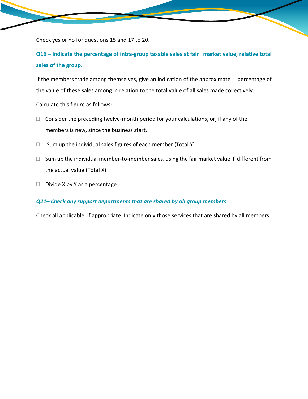Check yes or no for questions 15 and 17 to 20.

**Q16 – Indicate the percentage of intra-group taxable sales at fair market value, relative total sales of the group.**

If the members trade among themselves, give an indication of the approximate percentage of the value of these sales among in relation to the total value of all sales made collectively.

Calculate this figure as follows:

- $\Box$  Consider the preceding twelve-month period for your calculations, or, if any of the members is new, since the business start.
- $\Box$  Sum up the individual sales figures of each member (Total Y)
- $\Box$  Sum up the individual member-to-member sales, using the fair market value if different from the actual value (Total X)
- $\Box$  Divide X by Y as a percentage

### *Q21– Check any support departments that are shared by all group members*

Check all applicable, if appropriate. Indicate only those services that are shared by all members.